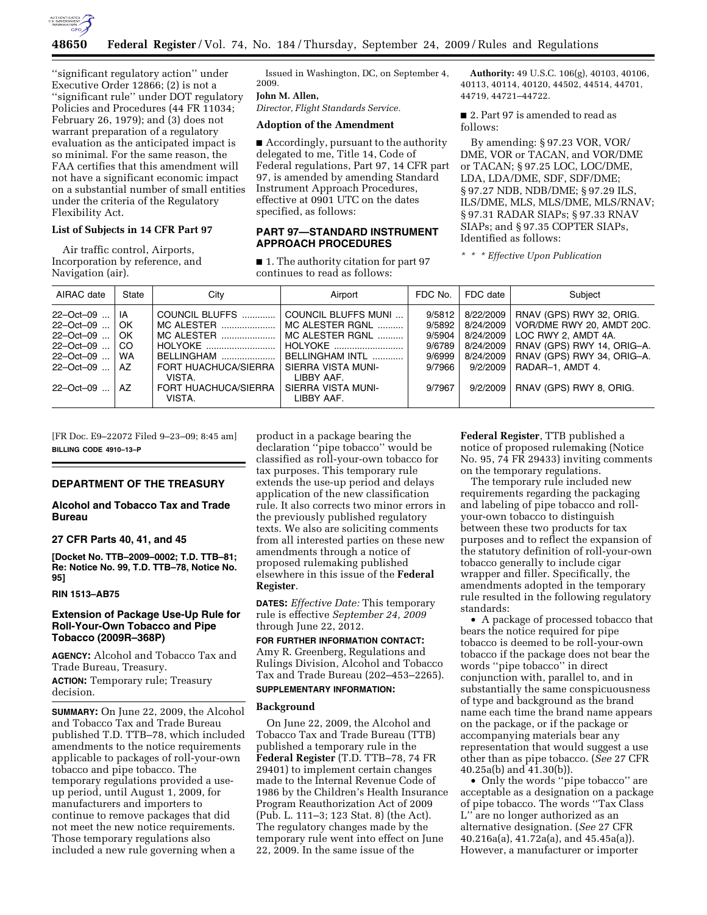

''significant regulatory action'' under Executive Order 12866; (2) is not a ''significant rule'' under DOT regulatory Policies and Procedures (44 FR 11034; February 26, 1979); and (3) does not warrant preparation of a regulatory evaluation as the anticipated impact is so minimal. For the same reason, the FAA certifies that this amendment will not have a significant economic impact on a substantial number of small entities under the criteria of the Regulatory Flexibility Act.

## **List of Subjects in 14 CFR Part 97**

Air traffic control, Airports, Incorporation by reference, and Navigation (air).

Issued in Washington, DC, on September 4, 2009.

**John M. Allen,** 

*Director, Flight Standards Service.* 

## **Adoption of the Amendment**

■ Accordingly, pursuant to the authority delegated to me, Title 14, Code of Federal regulations, Part 97, 14 CFR part 97, is amended by amending Standard Instrument Approach Procedures, effective at 0901 UTC on the dates specified, as follows:

## **PART 97—STANDARD INSTRUMENT APPROACH PROCEDURES**

■ 1. The authority citation for part 97 continues to read as follows:

**Authority:** 49 U.S.C. 106(g), 40103, 40106, 40113, 40114, 40120, 44502, 44514, 44701, 44719, 44721–44722.

■ 2. Part 97 is amended to read as follows:

By amending: § 97.23 VOR, VOR/ DME, VOR or TACAN, and VOR/DME or TACAN; § 97.25 LOC, LOC/DME, LDA, LDA/DME, SDF, SDF/DME; § 97.27 NDB, NDB/DME; § 97.29 ILS, ILS/DME, MLS, MLS/DME, MLS/RNAV; § 97.31 RADAR SIAPs; § 97.33 RNAV SIAPs; and § 97.35 COPTER SIAPs, Identified as follows:

*\* \* \* Effective Upon Publication* 

| AIRAC date                                                                                          | State                                                    | City                                                                                                                                    | Airport                                                                                                                                                         | FDC No.                                                            | FDC date                                                                              | Subject                                                                                                                                                                                 |
|-----------------------------------------------------------------------------------------------------|----------------------------------------------------------|-----------------------------------------------------------------------------------------------------------------------------------------|-----------------------------------------------------------------------------------------------------------------------------------------------------------------|--------------------------------------------------------------------|---------------------------------------------------------------------------------------|-----------------------------------------------------------------------------------------------------------------------------------------------------------------------------------------|
| 22-Oct-09<br>22-Oct-09<br>22-Oct-09<br>$22 - Oct - 09$<br>22-Oct-09<br>$22 - Oct - 09$<br>22-Oct-09 | IA<br>OK<br>OK<br><sub>CO</sub><br><b>WA</b><br>AZ<br>AZ | COUNCIL BLUFFS<br>MC ALESTER<br>MC ALESTER<br>HOLYOKE<br>BELLINGHAM<br>FORT HUACHUCA/SIERRA<br>VISTA.<br>FORT HUACHUCA/SIERRA<br>VISTA. | COUNCIL BLUFFS MUNI<br>MC ALESTER RGNL<br>MC ALESTER RGNL<br>HOLYOKE<br>BELLINGHAM INTL<br>SIERRA VISTA MUNI-<br>LIBBY AAF.<br>SIERRA VISTA MUNI-<br>LIBBY AAF. | 9/5812<br>9/5892<br>9/5904<br>9/6789<br>9/6999<br>9/7966<br>9/7967 | 8/22/2009<br>8/24/2009<br>8/24/2009<br>8/24/2009<br>8/24/2009<br>9/2/2009<br>9/2/2009 | RNAV (GPS) RWY 32, ORIG.<br>VOR/DME RWY 20, AMDT 20C.<br>LOC RWY 2. AMDT 4A.<br>RNAV (GPS) RWY 14, ORIG-A.<br>RNAV (GPS) RWY 34, ORIG-A.<br>RADAR-1, AMDT 4.<br>RNAV (GPS) RWY 8, ORIG. |
|                                                                                                     |                                                          |                                                                                                                                         |                                                                                                                                                                 |                                                                    |                                                                                       |                                                                                                                                                                                         |

[FR Doc. E9–22072 Filed 9–23–09; 8:45 am] **BILLING CODE 4910–13–P** 

#### **DEPARTMENT OF THE TREASURY**

# **Alcohol and Tobacco Tax and Trade Bureau**

# **27 CFR Parts 40, 41, and 45**

**[Docket No. TTB–2009–0002; T.D. TTB–81; Re: Notice No. 99, T.D. TTB–78, Notice No. 95]** 

## **RIN 1513–AB75**

### **Extension of Package Use-Up Rule for Roll-Your-Own Tobacco and Pipe Tobacco (2009R–368P)**

**AGENCY:** Alcohol and Tobacco Tax and Trade Bureau, Treasury.

**ACTION:** Temporary rule; Treasury decision.

**SUMMARY:** On June 22, 2009, the Alcohol and Tobacco Tax and Trade Bureau published T.D. TTB–78, which included amendments to the notice requirements applicable to packages of roll-your-own tobacco and pipe tobacco. The temporary regulations provided a useup period, until August 1, 2009, for manufacturers and importers to continue to remove packages that did not meet the new notice requirements. Those temporary regulations also included a new rule governing when a

product in a package bearing the declaration ''pipe tobacco'' would be classified as roll-your-own tobacco for tax purposes. This temporary rule extends the use-up period and delays application of the new classification rule. It also corrects two minor errors in the previously published regulatory texts. We also are soliciting comments from all interested parties on these new amendments through a notice of proposed rulemaking published elsewhere in this issue of the **Federal Register**.

**DATES:** *Effective Date:* This temporary rule is effective *September 24, 2009*  through June 22, 2012.

**FOR FURTHER INFORMATION CONTACT:**  Amy R. Greenberg, Regulations and Rulings Division, Alcohol and Tobacco Tax and Trade Bureau (202–453–2265).

#### **SUPPLEMENTARY INFORMATION:**

## **Background**

On June 22, 2009, the Alcohol and Tobacco Tax and Trade Bureau (TTB) published a temporary rule in the **Federal Register** (T.D. TTB–78, 74 FR 29401) to implement certain changes made to the Internal Revenue Code of 1986 by the Children's Health Insurance Program Reauthorization Act of 2009 (Pub. L. 111–3; 123 Stat. 8) (the Act). The regulatory changes made by the temporary rule went into effect on June 22, 2009. In the same issue of the

**Federal Register**, TTB published a notice of proposed rulemaking (Notice No. 95, 74 FR 29433) inviting comments on the temporary regulations.

The temporary rule included new requirements regarding the packaging and labeling of pipe tobacco and rollyour-own tobacco to distinguish between these two products for tax purposes and to reflect the expansion of the statutory definition of roll-your-own tobacco generally to include cigar wrapper and filler. Specifically, the amendments adopted in the temporary rule resulted in the following regulatory standards:

• A package of processed tobacco that bears the notice required for pipe tobacco is deemed to be roll-your-own tobacco if the package does not bear the words ''pipe tobacco'' in direct conjunction with, parallel to, and in substantially the same conspicuousness of type and background as the brand name each time the brand name appears on the package, or if the package or accompanying materials bear any representation that would suggest a use other than as pipe tobacco. (*See* 27 CFR 40.25a(b) and 41.30(b)).

• Only the words ''pipe tobacco'' are acceptable as a designation on a package of pipe tobacco. The words ''Tax Class L'' are no longer authorized as an alternative designation. (*See* 27 CFR 40.216a(a), 41.72a(a), and 45.45a(a)). However, a manufacturer or importer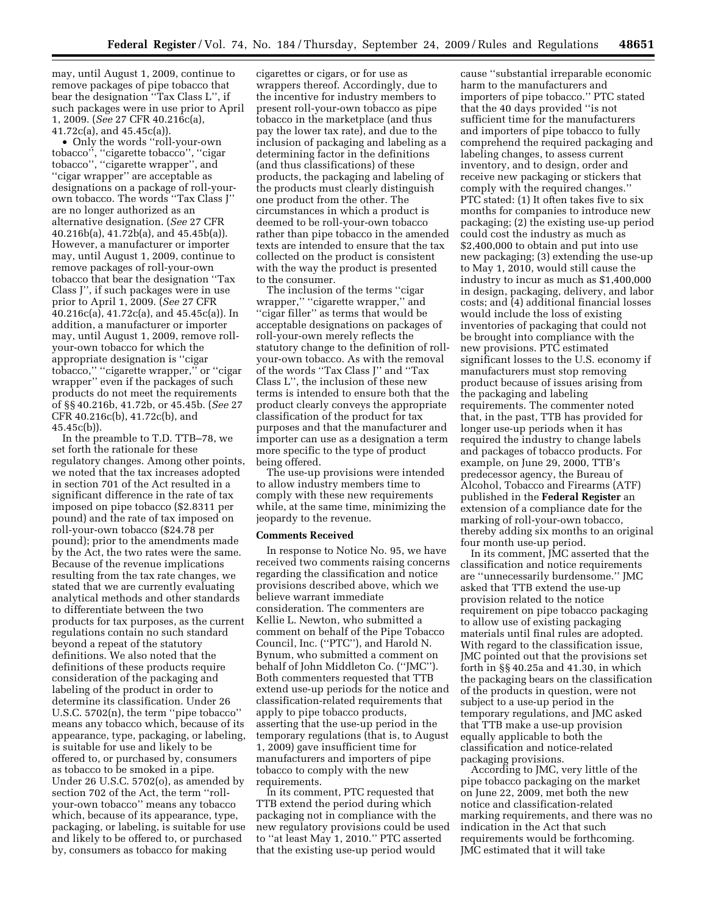may, until August 1, 2009, continue to remove packages of pipe tobacco that bear the designation ''Tax Class L'', if such packages were in use prior to April 1, 2009. (*See* 27 CFR 40.216c(a), 41.72c(a), and 45.45c(a)).

• Only the words ''roll-your-own tobacco'', ''cigarette tobacco'', ''cigar tobacco'', ''cigarette wrapper'', and ''cigar wrapper'' are acceptable as designations on a package of roll-yourown tobacco. The words ''Tax Class J'' are no longer authorized as an alternative designation. (*See* 27 CFR 40.216b(a), 41.72b(a), and 45.45b(a)). However, a manufacturer or importer may, until August 1, 2009, continue to remove packages of roll-your-own tobacco that bear the designation ''Tax Class J'', if such packages were in use prior to April 1, 2009. (*See* 27 CFR 40.216c(a), 41.72c(a), and 45.45c(a)). In addition, a manufacturer or importer may, until August 1, 2009, remove rollyour-own tobacco for which the appropriate designation is ''cigar tobacco,'' ''cigarette wrapper,'' or ''cigar wrapper'' even if the packages of such products do not meet the requirements of §§ 40.216b, 41.72b, or 45.45b. (*See* 27 CFR 40.216c(b), 41.72c(b), and 45.45c(b)).

In the preamble to T.D. TTB–78, we set forth the rationale for these regulatory changes. Among other points, we noted that the tax increases adopted in section 701 of the Act resulted in a significant difference in the rate of tax imposed on pipe tobacco (\$2.8311 per pound) and the rate of tax imposed on roll-your-own tobacco (\$24.78 per pound); prior to the amendments made by the Act, the two rates were the same. Because of the revenue implications resulting from the tax rate changes, we stated that we are currently evaluating analytical methods and other standards to differentiate between the two products for tax purposes, as the current regulations contain no such standard beyond a repeat of the statutory definitions. We also noted that the definitions of these products require consideration of the packaging and labeling of the product in order to determine its classification. Under 26 U.S.C. 5702(n), the term ''pipe tobacco'' means any tobacco which, because of its appearance, type, packaging, or labeling, is suitable for use and likely to be offered to, or purchased by, consumers as tobacco to be smoked in a pipe. Under 26 U.S.C. 5702(o), as amended by section 702 of the Act, the term ''rollyour-own tobacco'' means any tobacco which, because of its appearance, type, packaging, or labeling, is suitable for use and likely to be offered to, or purchased by, consumers as tobacco for making

cigarettes or cigars, or for use as wrappers thereof. Accordingly, due to the incentive for industry members to present roll-your-own tobacco as pipe tobacco in the marketplace (and thus pay the lower tax rate), and due to the inclusion of packaging and labeling as a determining factor in the definitions (and thus classifications) of these products, the packaging and labeling of the products must clearly distinguish one product from the other. The circumstances in which a product is deemed to be roll-your-own tobacco rather than pipe tobacco in the amended texts are intended to ensure that the tax collected on the product is consistent with the way the product is presented to the consumer.

The inclusion of the terms ''cigar wrapper," "cigarette wrapper," and ''cigar filler'' as terms that would be acceptable designations on packages of roll-your-own merely reflects the statutory change to the definition of rollyour-own tobacco. As with the removal of the words ''Tax Class J'' and ''Tax Class L'', the inclusion of these new terms is intended to ensure both that the product clearly conveys the appropriate classification of the product for tax purposes and that the manufacturer and importer can use as a designation a term more specific to the type of product being offered.

The use-up provisions were intended to allow industry members time to comply with these new requirements while, at the same time, minimizing the jeopardy to the revenue.

#### **Comments Received**

In response to Notice No. 95, we have received two comments raising concerns regarding the classification and notice provisions described above, which we believe warrant immediate consideration. The commenters are Kellie L. Newton, who submitted a comment on behalf of the Pipe Tobacco Council, Inc. (''PTC''), and Harold N. Bynum, who submitted a comment on behalf of John Middleton Co. (''JMC''). Both commenters requested that TTB extend use-up periods for the notice and classification-related requirements that apply to pipe tobacco products, asserting that the use-up period in the temporary regulations (that is, to August 1, 2009) gave insufficient time for manufacturers and importers of pipe tobacco to comply with the new requirements.

In its comment, PTC requested that TTB extend the period during which packaging not in compliance with the new regulatory provisions could be used to ''at least May 1, 2010.'' PTC asserted that the existing use-up period would

cause ''substantial irreparable economic harm to the manufacturers and importers of pipe tobacco.'' PTC stated that the 40 days provided ''is not sufficient time for the manufacturers and importers of pipe tobacco to fully comprehend the required packaging and labeling changes, to assess current inventory, and to design, order and receive new packaging or stickers that comply with the required changes.'' PTC stated: (1) It often takes five to six months for companies to introduce new packaging; (2) the existing use-up period could cost the industry as much as \$2,400,000 to obtain and put into use new packaging; (3) extending the use-up to May 1, 2010, would still cause the industry to incur as much as \$1,400,000 in design, packaging, delivery, and labor costs; and (4) additional financial losses would include the loss of existing inventories of packaging that could not be brought into compliance with the new provisions. PTC estimated significant losses to the U.S. economy if manufacturers must stop removing product because of issues arising from the packaging and labeling requirements. The commenter noted that, in the past, TTB has provided for longer use-up periods when it has required the industry to change labels and packages of tobacco products. For example, on June 29, 2000, TTB's predecessor agency, the Bureau of Alcohol, Tobacco and Firearms (ATF) published in the **Federal Register** an extension of a compliance date for the marking of roll-your-own tobacco, thereby adding six months to an original four month use-up period.

In its comment, JMC asserted that the classification and notice requirements are ''unnecessarily burdensome.'' JMC asked that TTB extend the use-up provision related to the notice requirement on pipe tobacco packaging to allow use of existing packaging materials until final rules are adopted. With regard to the classification issue, JMC pointed out that the provisions set forth in §§ 40.25a and 41.30, in which the packaging bears on the classification of the products in question, were not subject to a use-up period in the temporary regulations, and JMC asked that TTB make a use-up provision equally applicable to both the classification and notice-related packaging provisions.

According to JMC, very little of the pipe tobacco packaging on the market on June 22, 2009, met both the new notice and classification-related marking requirements, and there was no indication in the Act that such requirements would be forthcoming. JMC estimated that it will take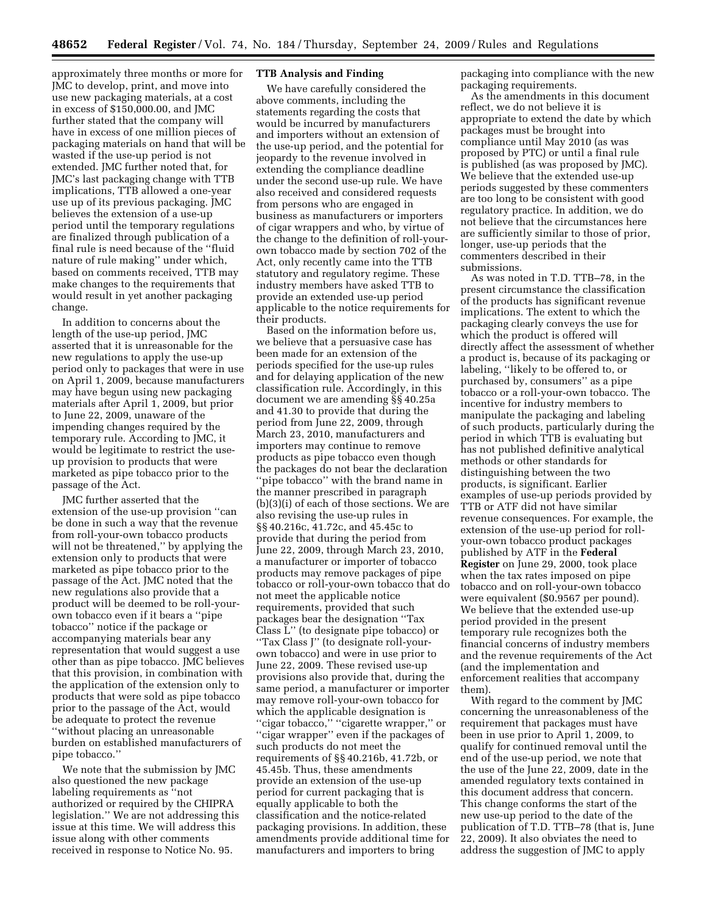approximately three months or more for JMC to develop, print, and move into use new packaging materials, at a cost in excess of \$150,000.00, and JMC further stated that the company will have in excess of one million pieces of packaging materials on hand that will be wasted if the use-up period is not extended. JMC further noted that, for JMC's last packaging change with TTB implications, TTB allowed a one-year use up of its previous packaging. JMC believes the extension of a use-up period until the temporary regulations are finalized through publication of a final rule is need because of the ''fluid nature of rule making'' under which, based on comments received, TTB may make changes to the requirements that would result in yet another packaging change.

In addition to concerns about the length of the use-up period, JMC asserted that it is unreasonable for the new regulations to apply the use-up period only to packages that were in use on April 1, 2009, because manufacturers may have begun using new packaging materials after April 1, 2009, but prior to June 22, 2009, unaware of the impending changes required by the temporary rule. According to JMC, it would be legitimate to restrict the useup provision to products that were marketed as pipe tobacco prior to the passage of the Act.

JMC further asserted that the extension of the use-up provision ''can be done in such a way that the revenue from roll-your-own tobacco products will not be threatened,'' by applying the extension only to products that were marketed as pipe tobacco prior to the passage of the Act. JMC noted that the new regulations also provide that a product will be deemed to be roll-yourown tobacco even if it bears a ''pipe tobacco'' notice if the package or accompanying materials bear any representation that would suggest a use other than as pipe tobacco. JMC believes that this provision, in combination with the application of the extension only to products that were sold as pipe tobacco prior to the passage of the Act, would be adequate to protect the revenue ''without placing an unreasonable burden on established manufacturers of pipe tobacco.''

We note that the submission by JMC also questioned the new package labeling requirements as ''not authorized or required by the CHIPRA legislation.'' We are not addressing this issue at this time. We will address this issue along with other comments received in response to Notice No. 95.

## **TTB Analysis and Finding**

We have carefully considered the above comments, including the statements regarding the costs that would be incurred by manufacturers and importers without an extension of the use-up period, and the potential for jeopardy to the revenue involved in extending the compliance deadline under the second use-up rule. We have also received and considered requests from persons who are engaged in business as manufacturers or importers of cigar wrappers and who, by virtue of the change to the definition of roll-yourown tobacco made by section 702 of the Act, only recently came into the TTB statutory and regulatory regime. These industry members have asked TTB to provide an extended use-up period applicable to the notice requirements for their products.

Based on the information before us, we believe that a persuasive case has been made for an extension of the periods specified for the use-up rules and for delaying application of the new classification rule. Accordingly, in this document we are amending §§ 40.25a and 41.30 to provide that during the period from June 22, 2009, through March 23, 2010, manufacturers and importers may continue to remove products as pipe tobacco even though the packages do not bear the declaration ''pipe tobacco'' with the brand name in the manner prescribed in paragraph (b)(3)(i) of each of those sections. We are also revising the use-up rules in §§ 40.216c, 41.72c, and 45.45c to provide that during the period from June 22, 2009, through March 23, 2010, a manufacturer or importer of tobacco products may remove packages of pipe tobacco or roll-your-own tobacco that do not meet the applicable notice requirements, provided that such packages bear the designation ''Tax Class L'' (to designate pipe tobacco) or ''Tax Class J'' (to designate roll-yourown tobacco) and were in use prior to June 22, 2009. These revised use-up provisions also provide that, during the same period, a manufacturer or importer may remove roll-your-own tobacco for which the applicable designation is ''cigar tobacco,'' ''cigarette wrapper,'' or ''cigar wrapper'' even if the packages of such products do not meet the requirements of §§ 40.216b, 41.72b, or 45.45b. Thus, these amendments provide an extension of the use-up period for current packaging that is equally applicable to both the classification and the notice-related packaging provisions. In addition, these amendments provide additional time for manufacturers and importers to bring

packaging into compliance with the new packaging requirements.

As the amendments in this document reflect, we do not believe it is appropriate to extend the date by which packages must be brought into compliance until May 2010 (as was proposed by PTC) or until a final rule is published (as was proposed by JMC). We believe that the extended use-up periods suggested by these commenters are too long to be consistent with good regulatory practice. In addition, we do not believe that the circumstances here are sufficiently similar to those of prior, longer, use-up periods that the commenters described in their submissions.

As was noted in T.D. TTB–78, in the present circumstance the classification of the products has significant revenue implications. The extent to which the packaging clearly conveys the use for which the product is offered will directly affect the assessment of whether a product is, because of its packaging or labeling, ''likely to be offered to, or purchased by, consumers'' as a pipe tobacco or a roll-your-own tobacco. The incentive for industry members to manipulate the packaging and labeling of such products, particularly during the period in which TTB is evaluating but has not published definitive analytical methods or other standards for distinguishing between the two products, is significant. Earlier examples of use-up periods provided by TTB or ATF did not have similar revenue consequences. For example, the extension of the use-up period for rollyour-own tobacco product packages published by ATF in the **Federal Register** on June 29, 2000, took place when the tax rates imposed on pipe tobacco and on roll-your-own tobacco were equivalent (\$0.9567 per pound). We believe that the extended use-up period provided in the present temporary rule recognizes both the financial concerns of industry members and the revenue requirements of the Act (and the implementation and enforcement realities that accompany them).

With regard to the comment by JMC concerning the unreasonableness of the requirement that packages must have been in use prior to April 1, 2009, to qualify for continued removal until the end of the use-up period, we note that the use of the June 22, 2009, date in the amended regulatory texts contained in this document address that concern. This change conforms the start of the new use-up period to the date of the publication of T.D. TTB–78 (that is, June 22, 2009). It also obviates the need to address the suggestion of JMC to apply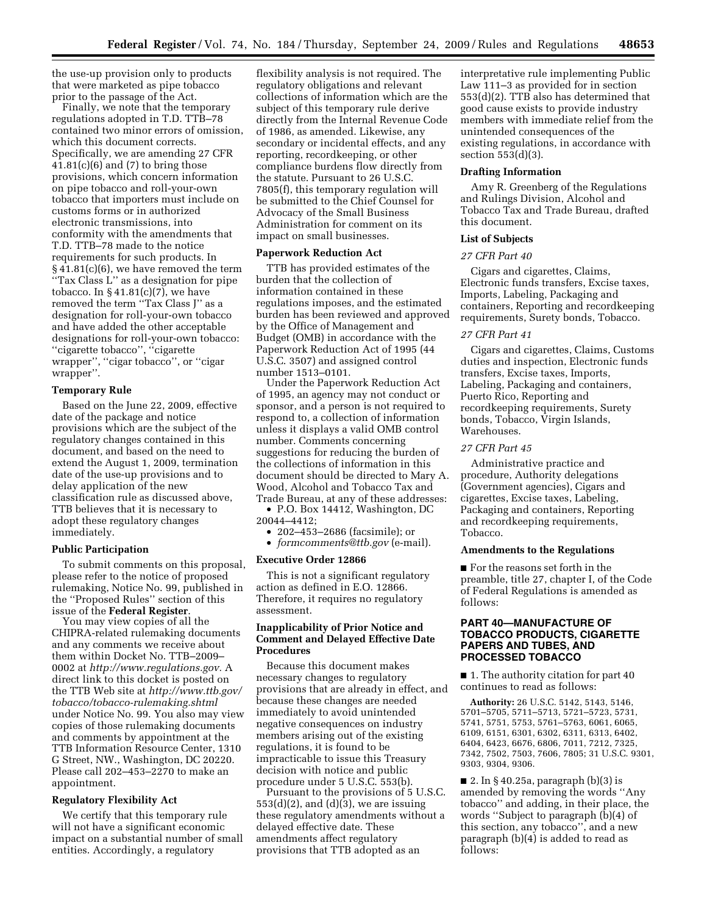the use-up provision only to products that were marketed as pipe tobacco prior to the passage of the Act.

Finally, we note that the temporary regulations adopted in T.D. TTB–78 contained two minor errors of omission, which this document corrects. Specifically, we are amending 27 CFR  $41.81(c)(6)$  and  $(7)$  to bring those provisions, which concern information on pipe tobacco and roll-your-own tobacco that importers must include on customs forms or in authorized electronic transmissions, into conformity with the amendments that T.D. TTB–78 made to the notice requirements for such products. In § 41.81(c)(6), we have removed the term ''Tax Class L'' as a designation for pipe tobacco. In  $\S 41.81(c)(7)$ , we have removed the term ''Tax Class J'' as a designation for roll-your-own tobacco and have added the other acceptable designations for roll-your-own tobacco: ''cigarette tobacco'', ''cigarette wrapper'', ''cigar tobacco'', or ''cigar wrapper''.

#### **Temporary Rule**

Based on the June 22, 2009, effective date of the package and notice provisions which are the subject of the regulatory changes contained in this document, and based on the need to extend the August 1, 2009, termination date of the use-up provisions and to delay application of the new classification rule as discussed above, TTB believes that it is necessary to adopt these regulatory changes immediately.

## **Public Participation**

To submit comments on this proposal, please refer to the notice of proposed rulemaking, Notice No. 99, published in the ''Proposed Rules'' section of this issue of the **Federal Register**.

You may view copies of all the CHIPRA-related rulemaking documents and any comments we receive about them within Docket No. TTB–2009– 0002 at *http://www.regulations.gov.* A direct link to this docket is posted on the TTB Web site at *http://www.ttb.gov/ tobacco/tobacco-rulemaking.shtml*  under Notice No. 99. You also may view copies of those rulemaking documents and comments by appointment at the TTB Information Resource Center, 1310 G Street, NW., Washington, DC 20220. Please call 202–453–2270 to make an appointment.

#### **Regulatory Flexibility Act**

We certify that this temporary rule will not have a significant economic impact on a substantial number of small entities. Accordingly, a regulatory

flexibility analysis is not required. The regulatory obligations and relevant collections of information which are the subject of this temporary rule derive directly from the Internal Revenue Code of 1986, as amended. Likewise, any secondary or incidental effects, and any reporting, recordkeeping, or other compliance burdens flow directly from the statute. Pursuant to 26 U.S.C. 7805(f), this temporary regulation will be submitted to the Chief Counsel for Advocacy of the Small Business Administration for comment on its impact on small businesses.

## **Paperwork Reduction Act**

TTB has provided estimates of the burden that the collection of information contained in these regulations imposes, and the estimated burden has been reviewed and approved by the Office of Management and Budget (OMB) in accordance with the Paperwork Reduction Act of 1995 (44 U.S.C. 3507) and assigned control number 1513–0101.

Under the Paperwork Reduction Act of 1995, an agency may not conduct or sponsor, and a person is not required to respond to, a collection of information unless it displays a valid OMB control number. Comments concerning suggestions for reducing the burden of the collections of information in this document should be directed to Mary A. Wood, Alcohol and Tobacco Tax and Trade Bureau, at any of these addresses:

• P.O. Box 14412, Washington, DC 20044–4412;

• 202–453–2686 (facsimile); or

• *formcomments@ttb.gov* (e-mail).

#### **Executive Order 12866**

This is not a significant regulatory action as defined in E.O. 12866. Therefore, it requires no regulatory assessment.

# **Inapplicability of Prior Notice and Comment and Delayed Effective Date Procedures**

Because this document makes necessary changes to regulatory provisions that are already in effect, and because these changes are needed immediately to avoid unintended negative consequences on industry members arising out of the existing regulations, it is found to be impracticable to issue this Treasury decision with notice and public procedure under 5 U.S.C. 553(b).

Pursuant to the provisions of 5 U.S.C.  $553(d)(2)$ , and  $(d)(3)$ , we are issuing these regulatory amendments without a delayed effective date. These amendments affect regulatory provisions that TTB adopted as an

interpretative rule implementing Public Law 111–3 as provided for in section 553(d)(2). TTB also has determined that good cause exists to provide industry members with immediate relief from the unintended consequences of the existing regulations, in accordance with section 553(d)(3).

#### **Drafting Information**

Amy R. Greenberg of the Regulations and Rulings Division, Alcohol and Tobacco Tax and Trade Bureau, drafted this document.

## **List of Subjects**

## *27 CFR Part 40*

Cigars and cigarettes, Claims, Electronic funds transfers, Excise taxes, Imports, Labeling, Packaging and containers, Reporting and recordkeeping requirements, Surety bonds, Tobacco.

## *27 CFR Part 41*

Cigars and cigarettes, Claims, Customs duties and inspection, Electronic funds transfers, Excise taxes, Imports, Labeling, Packaging and containers, Puerto Rico, Reporting and recordkeeping requirements, Surety bonds, Tobacco, Virgin Islands, Warehouses.

### *27 CFR Part 45*

Administrative practice and procedure, Authority delegations (Government agencies), Cigars and cigarettes, Excise taxes, Labeling, Packaging and containers, Reporting and recordkeeping requirements, Tobacco.

## **Amendments to the Regulations**

■ For the reasons set forth in the preamble, title 27, chapter I, of the Code of Federal Regulations is amended as follows:

# **PART 40—MANUFACTURE OF TOBACCO PRODUCTS, CIGARETTE PAPERS AND TUBES, AND PROCESSED TOBACCO**

■ 1. The authority citation for part 40 continues to read as follows:

**Authority:** 26 U.S.C. 5142, 5143, 5146, 5701–5705, 5711–5713, 5721–5723, 5731, 5741, 5751, 5753, 5761–5763, 6061, 6065, 6109, 6151, 6301, 6302, 6311, 6313, 6402, 6404, 6423, 6676, 6806, 7011, 7212, 7325, 7342, 7502, 7503, 7606, 7805; 31 U.S.C. 9301, 9303, 9304, 9306.

 $\blacksquare$  2. In § 40.25a, paragraph (b)(3) is amended by removing the words ''Any tobacco'' and adding, in their place, the words ''Subject to paragraph (b)(4) of this section, any tobacco'', and a new paragraph (b)(4) is added to read as follows: